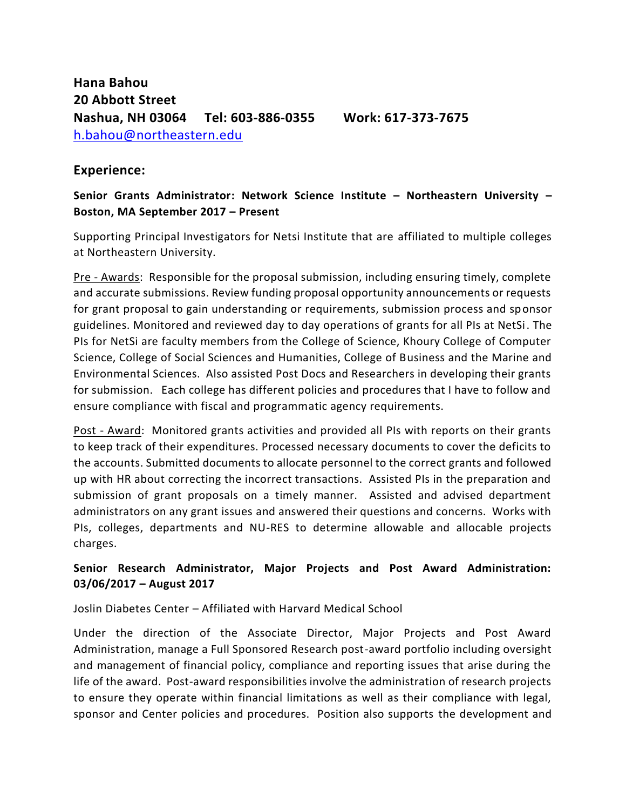## **Experience:**

## **Senior Grants Administrator: Network Science Institute – Northeastern University – Boston, MA September 2017 – Present**

Supporting Principal Investigators for Netsi Institute that are affiliated to multiple colleges at Northeastern University.

Pre - Awards: Responsible for the proposal submission, including ensuring timely, complete and accurate submissions. Review funding proposal opportunity announcements or requests for grant proposal to gain understanding or requirements, submission process and sponsor guidelines. Monitored and reviewed day to day operations of grants for all PIs at NetSi. The PIs for NetSi are faculty members from the College of Science, Khoury College of Computer Science, College of Social Sciences and Humanities, College of Business and the Marine and Environmental Sciences. Also assisted Post Docs and Researchers in developing their grants for submission. Each college has different policies and procedures that I have to follow and ensure compliance with fiscal and programmatic agency requirements.

Post - Award: Monitored grants activities and provided all PIs with reports on their grants to keep track of their expenditures. Processed necessary documents to cover the deficits to the accounts. Submitted documents to allocate personnel to the correct grants and followed up with HR about correcting the incorrect transactions. Assisted PIs in the preparation and submission of grant proposals on a timely manner. Assisted and advised department administrators on any grant issues and answered their questions and concerns. Works with PIs, colleges, departments and NU-RES to determine allowable and allocable projects charges.

# **Senior Research Administrator, Major Projects and Post Award Administration: 03/06/2017 – August 2017**

Joslin Diabetes Center – Affiliated with Harvard Medical School

Under the direction of the Associate Director, Major Projects and Post Award Administration, manage a Full Sponsored Research post-award portfolio including oversight and management of financial policy, compliance and reporting issues that arise during the life of the award. Post-award responsibilities involve the administration of research projects to ensure they operate within financial limitations as well as their compliance with legal, sponsor and Center policies and procedures. Position also supports the development and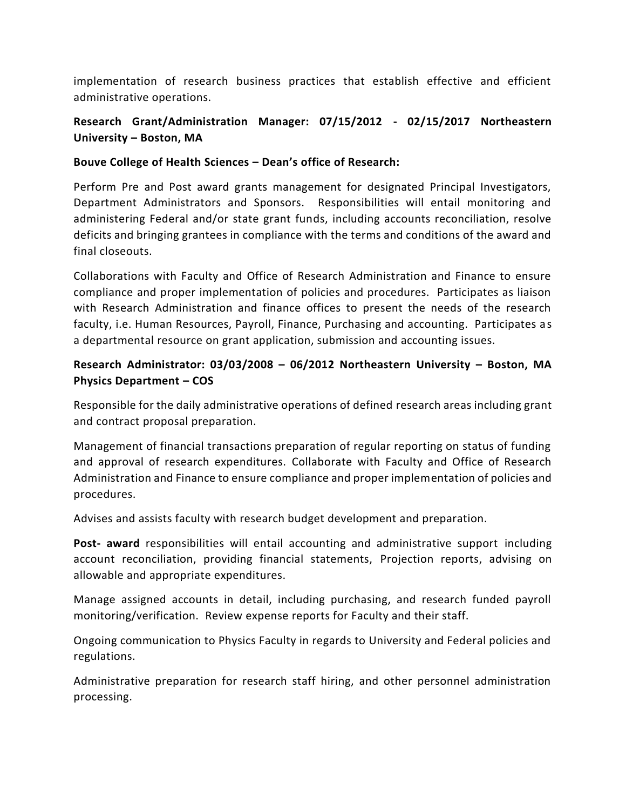implementation of research business practices that establish effective and efficient administrative operations.

# **Research Grant/Administration Manager: 07/15/2012 - 02/15/2017 Northeastern University – Boston, MA**

### **Bouve College of Health Sciences – Dean's office of Research:**

Perform Pre and Post award grants management for designated Principal Investigators, Department Administrators and Sponsors. Responsibilities will entail monitoring and administering Federal and/or state grant funds, including accounts reconciliation, resolve deficits and bringing grantees in compliance with the terms and conditions of the award and final closeouts.

Collaborations with Faculty and Office of Research Administration and Finance to ensure compliance and proper implementation of policies and procedures. Participates as liaison with Research Administration and finance offices to present the needs of the research faculty, i.e. Human Resources, Payroll, Finance, Purchasing and accounting. Participates as a departmental resource on grant application, submission and accounting issues.

# **Research Administrator: 03/03/2008 – 06/2012 Northeastern University – Boston, MA Physics Department – COS**

Responsible for the daily administrative operations of defined research areas including grant and contract proposal preparation.

Management of financial transactions preparation of regular reporting on status of funding and approval of research expenditures. Collaborate with Faculty and Office of Research Administration and Finance to ensure compliance and proper implementation of policies and procedures.

Advises and assists faculty with research budget development and preparation.

**Post- award** responsibilities will entail accounting and administrative support including account reconciliation, providing financial statements, Projection reports, advising on allowable and appropriate expenditures.

Manage assigned accounts in detail, including purchasing, and research funded payroll monitoring/verification. Review expense reports for Faculty and their staff.

Ongoing communication to Physics Faculty in regards to University and Federal policies and regulations.

Administrative preparation for research staff hiring, and other personnel administration processing.